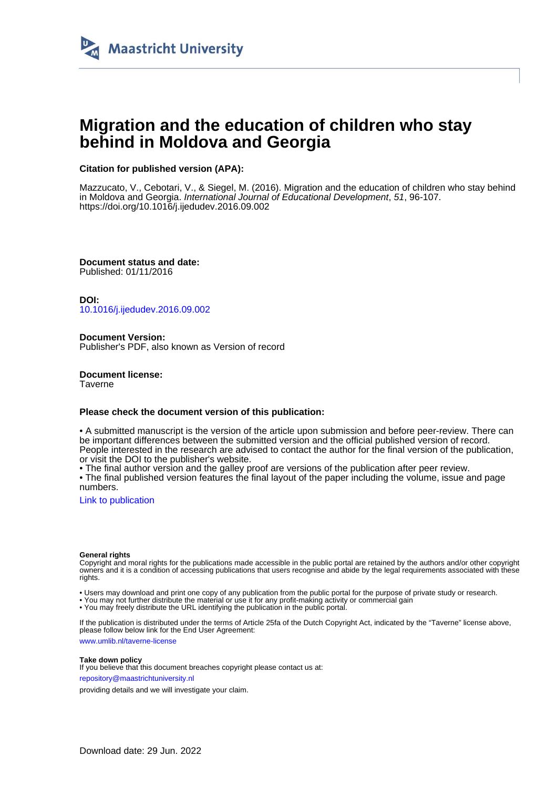

# **Migration and the education of children who stay behind in Moldova and Georgia**

## **Citation for published version (APA):**

Mazzucato, V., Cebotari, V., & Siegel, M. (2016). Migration and the education of children who stay behind in Moldova and Georgia. International Journal of Educational Development, 51, 96-107. <https://doi.org/10.1016/j.ijedudev.2016.09.002>

**Document status and date:** Published: 01/11/2016

**DOI:** [10.1016/j.ijedudev.2016.09.002](https://doi.org/10.1016/j.ijedudev.2016.09.002)

**Document Version:** Publisher's PDF, also known as Version of record

**Document license: Taverne** 

## **Please check the document version of this publication:**

• A submitted manuscript is the version of the article upon submission and before peer-review. There can be important differences between the submitted version and the official published version of record. People interested in the research are advised to contact the author for the final version of the publication, or visit the DOI to the publisher's website.

• The final author version and the galley proof are versions of the publication after peer review.

• The final published version features the final layout of the paper including the volume, issue and page numbers.

[Link to publication](https://cris.maastrichtuniversity.nl/en/publications/d23dfd41-bb73-4aa8-a375-59b89c124633)

## **General rights**

Copyright and moral rights for the publications made accessible in the public portal are retained by the authors and/or other copyright owners and it is a condition of accessing publications that users recognise and abide by the legal requirements associated with these rights.

• Users may download and print one copy of any publication from the public portal for the purpose of private study or research.

• You may not further distribute the material or use it for any profit-making activity or commercial gain

• You may freely distribute the URL identifying the publication in the public portal.

If the publication is distributed under the terms of Article 25fa of the Dutch Copyright Act, indicated by the "Taverne" license above, please follow below link for the End User Agreement:

www.umlib.nl/taverne-license

## **Take down policy**

If you believe that this document breaches copyright please contact us at: repository@maastrichtuniversity.nl

providing details and we will investigate your claim.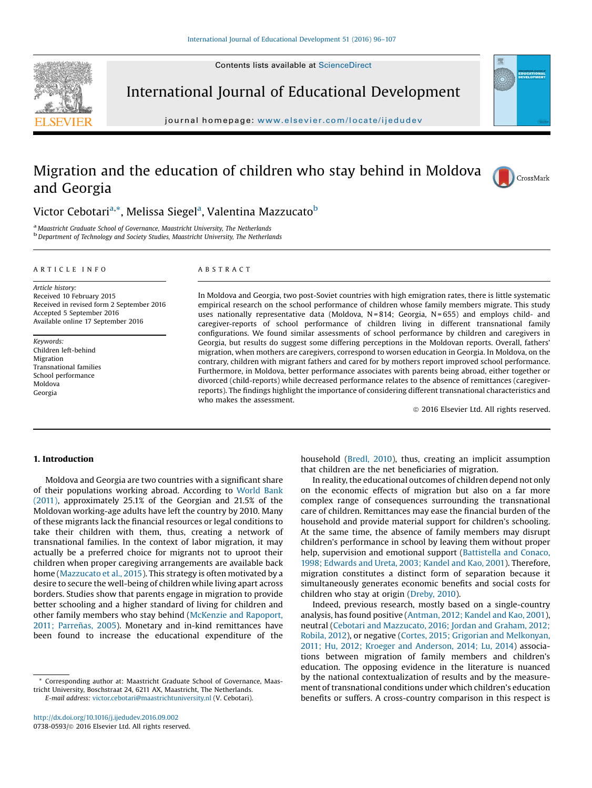Contents lists available at [ScienceDirect](http://www.sciencedirect.com/science/journal/07380593)



International Journal of Educational Development

journal homepage: <www.elsevier.com/locate/ijedudev>

# Migration and the education of children who stay behind in Moldova and Georgia



# Victor Cebotari<sup>a,</sup>\*, Melissa Siegel<sup>a</sup>, Valentina Mazzucato<sup>b</sup>

<sup>a</sup> Maastricht Graduate School of Governance, Maastricht University, The Netherlands<br><sup>b</sup> Department of Technology and Society Studies, Maastricht University, The Netherlands

#### A R T I C L E I N F O

Article history: Received 10 February 2015 Received in revised form 2 September 2016 Accepted 5 September 2016 Available online 17 September 2016

Keywords: Children left-behind Migration Transnational families School performance Moldova Georgia

#### A B S T R A C T

In Moldova and Georgia, two post-Soviet countries with high emigration rates, there is little systematic empirical research on the school performance of children whose family members migrate. This study uses nationally representative data (Moldova,  $N = 814$ ; Georgia,  $N = 655$ ) and employs child- and caregiver-reports of school performance of children living in different transnational family configurations. We found similar assessments of school performance by children and caregivers in Georgia, but results do suggest some differing perceptions in the Moldovan reports. Overall, fathers' migration, when mothers are caregivers, correspond to worsen education in Georgia. In Moldova, on the contrary, children with migrant fathers and cared for by mothers report improved school performance. Furthermore, in Moldova, better performance associates with parents being abroad, either together or divorced (child-reports) while decreased performance relates to the absence of remittances (caregiverreports). The findings highlight the importance of considering different transnational characteristics and who makes the assessment.

ã 2016 Elsevier Ltd. All rights reserved.

### 1. Introduction

Moldova and Georgia are two countries with a significant share of their populations working abroad. According to [World](#page-12-0) Bank [\(2011\)](#page-12-0), approximately 25.1% of the Georgian and 21.5% of the Moldovan working-age adults have left the country by 2010. Many of these migrants lack the financial resources or legal conditions to take their children with them, thus, creating a network of transnational families. In the context of labor migration, it may actually be a preferred choice for migrants not to uproot their children when proper caregiving arrangements are available back home [\(Mazzucato](#page-12-0) et al., 2015). This strategy is often motivated by a desire to secure the well-being of children while living apart across borders. Studies show that parents engage in migration to provide better schooling and a higher standard of living for children and other family members who stay behind [\(McKenzie](#page-12-0) and Rapoport, 2011; [Parreñas,](#page-12-0) 2005). Monetary and in-kind remittances have been found to increase the educational expenditure of the

<http://dx.doi.org/10.1016/j.ijedudev.2016.09.002>

0738-0593/@ 2016 Elsevier Ltd. All rights reserved.

household ([Bredl,](#page-11-0) 2010), thus, creating an implicit assumption that children are the net beneficiaries of migration.

In reality, the educational outcomes of children depend not only on the economic effects of migration but also on a far more complex range of consequences surrounding the transnational care of children. Remittances may ease the financial burden of the household and provide material support for children's schooling. At the same time, the absence of family members may disrupt children's performance in school by leaving them without proper help, supervision and emotional support ([Battistella](#page-11-0) and Conaco, 1998; [Edwards](#page-11-0) and Ureta, 2003; Kandel and Kao, 2001). Therefore, migration constitutes a distinct form of separation because it simultaneously generates economic benefits and social costs for children who stay at origin [\(Dreby,](#page-11-0) 2010).

Indeed, previous research, mostly based on a single-country analysis, has found positive [\(Antman,](#page-11-0) 2012; Kandel and Kao, 2001), neutral (Cebotari and [Mazzucato,](#page-11-0) 2016; Jordan and Graham, 2012; [Robila,](#page-11-0) 2012), or negative (Cortes, 2015; Grigorian and [Melkonyan,](#page-11-0) 2011; Hu, 2012; Kroeger and [Anderson,](#page-11-0) 2014; Lu, 2014) associations between migration of family members and children's education. The opposing evidence in the literature is nuanced by the national contextualization of results and by the measurement of transnational conditions under which children's education benefits or suffers. A cross-country comparison in this respect is

<sup>\*</sup> Corresponding author at: Maastricht Graduate School of Governance, Maastricht University, Boschstraat 24, 6211 AX, Maastricht, The Netherlands. E-mail address: [victor.cebotari@maastrichtuniversity.nl](mailto:victor.) (V. Cebotari).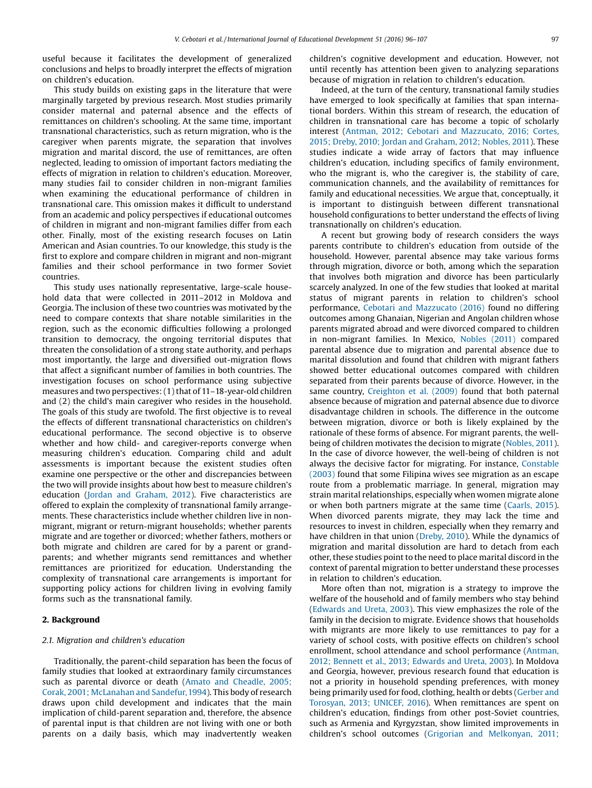useful because it facilitates the development of generalized conclusions and helps to broadly interpret the effects of migration on children's education.

This study builds on existing gaps in the literature that were marginally targeted by previous research. Most studies primarily consider maternal and paternal absence and the effects of remittances on children's schooling. At the same time, important transnational characteristics, such as return migration, who is the caregiver when parents migrate, the separation that involves migration and marital discord, the use of remittances, are often neglected, leading to omission of important factors mediating the effects of migration in relation to children's education. Moreover, many studies fail to consider children in non-migrant families when examining the educational performance of children in transnational care. This omission makes it difficult to understand from an academic and policy perspectives if educational outcomes of children in migrant and non-migrant families differ from each other. Finally, most of the existing research focuses on Latin American and Asian countries. To our knowledge, this study is the first to explore and compare children in migrant and non-migrant families and their school performance in two former Soviet countries.

This study uses nationally representative, large-scale household data that were collected in 2011–2012 in Moldova and Georgia. The inclusion of these two countries was motivated by the need to compare contexts that share notable similarities in the region, such as the economic difficulties following a prolonged transition to democracy, the ongoing territorial disputes that threaten the consolidation of a strong state authority, and perhaps most importantly, the large and diversified out-migration flows that affect a significant number of families in both countries. The investigation focuses on school performance using subjective measures and two perspectives:(1) that of 11–18-year-old children and (2) the child's main caregiver who resides in the household. The goals of this study are twofold. The first objective is to reveal the effects of different transnational characteristics on children's educational performance. The second objective is to observe whether and how child- and caregiver-reports converge when measuring children's education. Comparing child and adult assessments is important because the existent studies often examine one perspective or the other and discrepancies between the two will provide insights about how best to measure children's education (Jordan and [Graham,](#page-12-0) 2012). Five characteristics are offered to explain the complexity of transnational family arrangements. These characteristics include whether children live in nonmigrant, migrant or return-migrant households; whether parents migrate and are together or divorced; whether fathers, mothers or both migrate and children are cared for by a parent or grandparents; and whether migrants send remittances and whether remittances are prioritized for education. Understanding the complexity of transnational care arrangements is important for supporting policy actions for children living in evolving family forms such as the transnational family.

## 2. Background

## 2.1. Migration and children's education

Traditionally, the parent-child separation has been the focus of family studies that looked at extraordinary family circumstances such as parental divorce or death (Amato and [Cheadle,](#page-11-0) 2005; Corak, 2001; McLanahan and [Sandefur,1994\)](#page-11-0). This body of research draws upon child development and indicates that the main implication of child-parent separation and, therefore, the absence of parental input is that children are not living with one or both parents on a daily basis, which may inadvertently weaken children's cognitive development and education. However, not until recently has attention been given to analyzing separations because of migration in relation to children's education.

Indeed, at the turn of the century, transnational family studies have emerged to look specifically at families that span international borders. Within this stream of research, the education of children in transnational care has become a topic of scholarly interest (Antman, 2012; Cebotari and [Mazzucato,](#page-11-0) 2016; Cortes, 2015; Dreby, 2010; Jordan and [Graham,](#page-11-0) 2012; Nobles, 2011). These studies indicate a wide array of factors that may influence children's education, including specifics of family environment, who the migrant is, who the caregiver is, the stability of care, communication channels, and the availability of remittances for family and educational necessities. We argue that, conceptually, it is important to distinguish between different transnational household configurations to better understand the effects of living transnationally on children's education.

A recent but growing body of research considers the ways parents contribute to children's education from outside of the household. However, parental absence may take various forms through migration, divorce or both, among which the separation that involves both migration and divorce has been particularly scarcely analyzed. In one of the few studies that looked at marital status of migrant parents in relation to children's school performance, Cebotari and [Mazzucato](#page-11-0) (2016) found no differing outcomes among Ghanaian, Nigerian and Angolan children whose parents migrated abroad and were divorced compared to children in non-migrant families. In Mexico, [Nobles](#page-12-0) (2011) compared parental absence due to migration and parental absence due to marital dissolution and found that children with migrant fathers showed better educational outcomes compared with children separated from their parents because of divorce. However, in the same country, [Creighton](#page-11-0) et al. (2009) found that both paternal absence because of migration and paternal absence due to divorce disadvantage children in schools. The difference in the outcome between migration, divorce or both is likely explained by the rationale of these forms of absence. For migrant parents, the wellbeing of children motivates the decision to migrate [\(Nobles,](#page-12-0) 2011). In the case of divorce however, the well-being of children is not always the decisive factor for migrating. For instance, [Constable](#page-11-0) [\(2003\)](#page-11-0) found that some Filipina wives see migration as an escape route from a problematic marriage. In general, migration may strain marital relationships, especially when women migrate alone or when both partners migrate at the same time ([Caarls,](#page-11-0) 2015). When divorced parents migrate, they may lack the time and resources to invest in children, especially when they remarry and have children in that union [\(Dreby,](#page-11-0) 2010). While the dynamics of migration and marital dissolution are hard to detach from each other, these studies point to the need to place marital discord in the context of parental migration to better understand these processes in relation to children's education.

More often than not, migration is a strategy to improve the welfare of the household and of family members who stay behind ([Edwards](#page-11-0) and Ureta, 2003). This view emphasizes the role of the family in the decision to migrate. Evidence shows that households with migrants are more likely to use remittances to pay for a variety of school costs, with positive effects on children's school enrollment, school attendance and school performance [\(Antman,](#page-11-0) 2012; Bennett et al., 2013; [Edwards](#page-11-0) and Ureta, 2003). In Moldova and Georgia, however, previous research found that education is not a priority in household spending preferences, with money being primarily used for food, clothing, health or debts ([Gerber](#page-11-0) and [Torosyan,](#page-11-0) 2013; UNICEF, 2016). When remittances are spent on children's education, findings from other post-Soviet countries, such as Armenia and Kyrgyzstan, show limited improvements in children's school outcomes (Grigorian and [Melkonyan,](#page-12-0) 2011;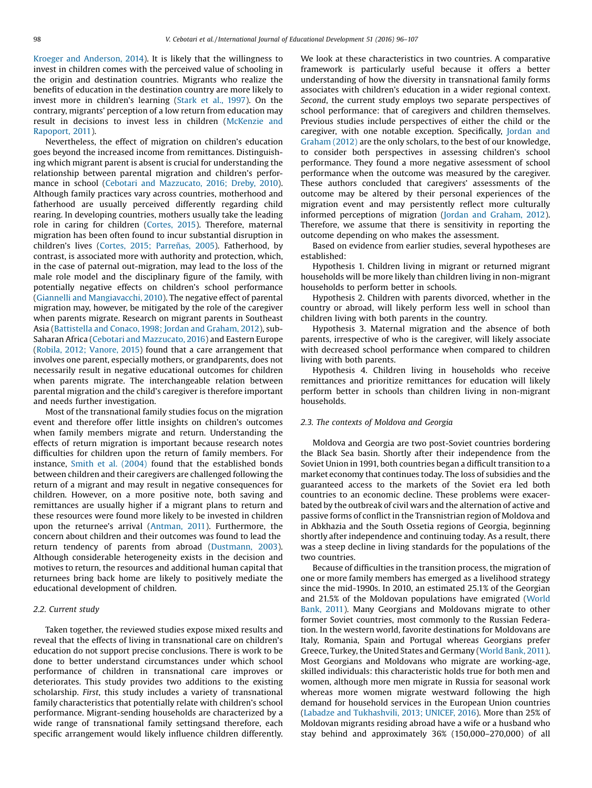Kroeger and [Anderson,](#page-12-0) 2014). It is likely that the willingness to invest in children comes with the perceived value of schooling in the origin and destination countries. Migrants who realize the benefits of education in the destination country are more likely to invest more in children's learning [\(Stark](#page-12-0) et al., 1997). On the contrary, migrants' perception of a low return from education may result in decisions to invest less in children ([McKenzie](#page-12-0) and [Rapoport,](#page-12-0) 2011).

Nevertheless, the effect of migration on children's education goes beyond the increased income from remittances. Distinguishing which migrant parent is absent is crucial for understanding the relationship between parental migration and children's performance in school (Cebotari and [Mazzucato,](#page-11-0) 2016; Dreby, 2010). Although family practices vary across countries, motherhood and fatherhood are usually perceived differently regarding child rearing. In developing countries, mothers usually take the leading role in caring for children [\(Cortes,](#page-11-0) 2015). Therefore, maternal migration has been often found to incur substantial disruption in children's lives (Cortes, 2015; [Parreñas,](#page-11-0) 2005). Fatherhood, by contrast, is associated more with authority and protection, which, in the case of paternal out-migration, may lead to the loss of the male role model and the disciplinary figure of the family, with potentially negative effects on children's school performance (Giannelli and [Mangiavacchi,](#page-11-0) 2010). The negative effect of parental migration may, however, be mitigated by the role of the caregiver when parents migrate. Research on migrant parents in Southeast Asia ([Battistella](#page-11-0) and Conaco, 1998; Jordan and Graham, 2012), sub-Saharan Africa (Cebotari and [Mazzucato,](#page-11-0) 2016) and Eastern Europe (Robila, 2012; [Vanore,](#page-12-0) 2015) found that a care arrangement that involves one parent, especially mothers, or grandparents, does not necessarily result in negative educational outcomes for children when parents migrate. The interchangeable relation between parental migration and the child's caregiver is therefore important and needs further investigation.

Most of the transnational family studies focus on the migration event and therefore offer little insights on children's outcomes when family members migrate and return. Understanding the effects of return migration is important because research notes difficulties for children upon the return of family members. For instance, Smith et al. [\(2004\)](#page-12-0) found that the established bonds between children and their caregivers are challenged following the return of a migrant and may result in negative consequences for children. However, on a more positive note, both saving and remittances are usually higher if a migrant plans to return and these resources were found more likely to be invested in children upon the returnee's arrival [\(Antman,](#page-11-0) 2011). Furthermore, the concern about children and their outcomes was found to lead the return tendency of parents from abroad [\(Dustmann,](#page-11-0) 2003). Although considerable heterogeneity exists in the decision and motives to return, the resources and additional human capital that returnees bring back home are likely to positively mediate the educational development of children.

## 2.2. Current study

Taken together, the reviewed studies expose mixed results and reveal that the effects of living in transnational care on children's education do not support precise conclusions. There is work to be done to better understand circumstances under which school performance of children in transnational care improves or deteriorates. This study provides two additions to the existing scholarship. First, this study includes a variety of transnational family characteristics that potentially relate with children's school performance. Migrant-sending households are characterized by a wide range of transnational family settingsand therefore, each specific arrangement would likely influence children differently. We look at these characteristics in two countries. A comparative framework is particularly useful because it offers a better understanding of how the diversity in transnational family forms associates with children's education in a wider regional context. Second, the current study employs two separate perspectives of school performance: that of caregivers and children themselves. Previous studies include perspectives of either the child or the caregiver, with one notable exception. Specifically, [Jordan](#page-12-0) and [Graham](#page-12-0) (2012) are the only scholars, to the best of our knowledge, to consider both perspectives in assessing children's school performance. They found a more negative assessment of school performance when the outcome was measured by the caregiver. These authors concluded that caregivers' assessments of the outcome may be altered by their personal experiences of the migration event and may persistently reflect more culturally informed perceptions of migration (Jordan and [Graham,](#page-12-0) 2012). Therefore, we assume that there is sensitivity in reporting the outcome depending on who makes the assessment.

Based on evidence from earlier studies, several hypotheses are established:

Hypothesis 1. Children living in migrant or returned migrant households will be more likely than children living in non-migrant households to perform better in schools.

Hypothesis 2. Children with parents divorced, whether in the country or abroad, will likely perform less well in school than children living with both parents in the country.

Hypothesis 3. Maternal migration and the absence of both parents, irrespective of who is the caregiver, will likely associate with decreased school performance when compared to children living with both parents.

Hypothesis 4. Children living in households who receive remittances and prioritize remittances for education will likely perform better in schools than children living in non-migrant households.

#### 2.3. The contexts of Moldova and Georgia

Moldova and Georgia are two post-Soviet countries bordering the Black Sea basin. Shortly after their independence from the Soviet Union in 1991, both countries began a difficult transition to a market economy that continues today. The loss of subsidies and the guaranteed access to the markets of the Soviet era led both countries to an economic decline. These problems were exacerbated by the outbreak of civil wars and the alternation of active and passive forms of conflict in the Transnistrian region of Moldova and in Abkhazia and the South Ossetia regions of Georgia, beginning shortly after independence and continuing today. As a result, there was a steep decline in living standards for the populations of the two countries.

Because of difficulties in the transition process, the migration of one or more family members has emerged as a livelihood strategy since the mid-1990s. In 2010, an estimated 25.1% of the Georgian and 21.5% of the Moldovan populations have emigrated [\(World](#page-12-0) [Bank,](#page-12-0) 2011). Many Georgians and Moldovans migrate to other former Soviet countries, most commonly to the Russian Federation. In the western world, favorite destinations for Moldovans are Italy, Romania, Spain and Portugal whereas Georgians prefer Greece, Turkey, the United States and Germany ([World](#page-12-0) Bank, 2011). Most Georgians and Moldovans who migrate are working-age, skilled individuals: this characteristic holds true for both men and women, although more men migrate in Russia for seasonal work whereas more women migrate westward following the high demand for household services in the European Union countries (Labadze and [Tukhashvili,](#page-12-0) 2013; UNICEF, 2016). More than 25% of Moldovan migrants residing abroad have a wife or a husband who stay behind and approximately 36% (150,000–270,000) of all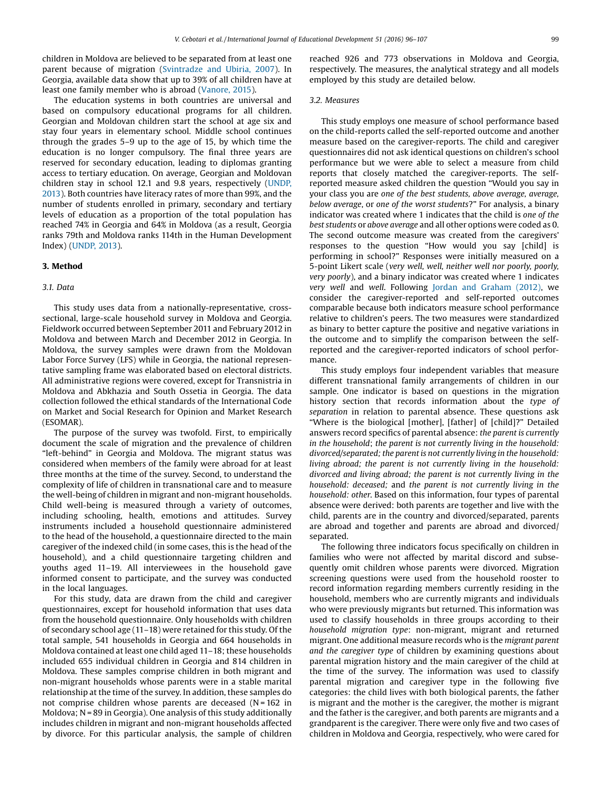children in Moldova are believed to be separated from at least one parent because of migration ([Svintradze](#page-12-0) and Ubiria, 2007). In Georgia, available data show that up to 39% of all children have at least one family member who is abroad ([Vanore,](#page-12-0) 2015).

The education systems in both countries are universal and based on compulsory educational programs for all children. Georgian and Moldovan children start the school at age six and stay four years in elementary school. Middle school continues through the grades 5–9 up to the age of 15, by which time the education is no longer compulsory. The final three years are reserved for secondary education, leading to diplomas granting access to tertiary education. On average, Georgian and Moldovan children stay in school 12.1 and 9.8 years, respectively ([UNDP,](#page-12-0) [2013](#page-12-0)). Both countries have literacy rates of more than 99%, and the number of students enrolled in primary, secondary and tertiary levels of education as a proportion of the total population has reached 74% in Georgia and 64% in Moldova (as a result, Georgia ranks 79th and Moldova ranks 114th in the Human Development Index) ([UNDP,](#page-12-0) 2013).

## 3. Method

## 3.1. Data

This study uses data from a nationally-representative, crosssectional, large-scale household survey in Moldova and Georgia. Fieldwork occurred between September 2011 and February 2012 in Moldova and between March and December 2012 in Georgia. In Moldova, the survey samples were drawn from the Moldovan Labor Force Survey (LFS) while in Georgia, the national representative sampling frame was elaborated based on electoral districts. All administrative regions were covered, except for Transnistria in Moldova and Abkhazia and South Ossetia in Georgia. The data collection followed the ethical standards of the International Code on Market and Social Research for Opinion and Market Research (ESOMAR).

The purpose of the survey was twofold. First, to empirically document the scale of migration and the prevalence of children "left-behind" in Georgia and Moldova. The migrant status was considered when members of the family were abroad for at least three months at the time of the survey. Second, to understand the complexity of life of children in transnational care and to measure the well-being of children in migrant and non-migrant households. Child well-being is measured through a variety of outcomes, including schooling, health, emotions and attitudes. Survey instruments included a household questionnaire administered to the head of the household, a questionnaire directed to the main caregiver of the indexed child (in some cases, this is the head of the household), and a child questionnaire targeting children and youths aged 11–19. All interviewees in the household gave informed consent to participate, and the survey was conducted in the local languages.

For this study, data are drawn from the child and caregiver questionnaires, except for household information that uses data from the household questionnaire. Only households with children of secondary school age (11–18) were retained for this study. Of the total sample, 541 households in Georgia and 664 households in Moldova contained at least one child aged 11–18; these households included 655 individual children in Georgia and 814 children in Moldova. These samples comprise children in both migrant and non-migrant households whose parents were in a stable marital relationship at the time of the survey. In addition, these samples do not comprise children whose parents are deceased (N = 162 in Moldova; N = 89 in Georgia). One analysis of this study additionally includes children in migrant and non-migrant households affected by divorce. For this particular analysis, the sample of children

reached 926 and 773 observations in Moldova and Georgia, respectively. The measures, the analytical strategy and all models employed by this study are detailed below.

## 3.2. Measures

This study employs one measure of school performance based on the child-reports called the self-reported outcome and another measure based on the caregiver-reports. The child and caregiver questionnaires did not ask identical questions on children's school performance but we were able to select a measure from child reports that closely matched the caregiver-reports. The selfreported measure asked children the question "Would you say in your class you are one of the best students, above average, average, below average, or one of the worst students?" For analysis, a binary indicator was created where 1 indicates that the child is one of the best students or above average and all other options were coded as 0. The second outcome measure was created from the caregivers' responses to the question "How would you say [child] is performing in school?" Responses were initially measured on a 5-point Likert scale (very well, well, neither well nor poorly, poorly, very poorly), and a binary indicator was created where 1 indicates very well and well. Following Jordan and [Graham](#page-12-0) (2012), we consider the caregiver-reported and self-reported outcomes comparable because both indicators measure school performance relative to children's peers. The two measures were standardized as binary to better capture the positive and negative variations in the outcome and to simplify the comparison between the selfreported and the caregiver-reported indicators of school performance.

This study employs four independent variables that measure different transnational family arrangements of children in our sample. One indicator is based on questions in the migration history section that records information about the type of separation in relation to parental absence. These questions ask "Where is the biological [mother], [father] of [child]?" Detailed answers record specifics of parental absence: the parent is currently in the household; the parent is not currently living in the household: divorced/separated; the parent is not currently living in the household: living abroad; the parent is not currently living in the household: divorced and living abroad; the parent is not currently living in the household: deceased; and the parent is not currently living in the household: other. Based on this information, four types of parental absence were derived: both parents are together and live with the child, parents are in the country and divorced/separated, parents are abroad and together and parents are abroad and divorced/ separated.

The following three indicators focus specifically on children in families who were not affected by marital discord and subsequently omit children whose parents were divorced. Migration screening questions were used from the household rooster to record information regarding members currently residing in the household, members who are currently migrants and individuals who were previously migrants but returned. This information was used to classify households in three groups according to their household migration type: non-migrant, migrant and returned migrant. One additional measure records who is the migrant parent and the caregiver type of children by examining questions about parental migration history and the main caregiver of the child at the time of the survey. The information was used to classify parental migration and caregiver type in the following five categories: the child lives with both biological parents, the father is migrant and the mother is the caregiver, the mother is migrant and the father is the caregiver, and both parents are migrants and a grandparent is the caregiver. There were only five and two cases of children in Moldova and Georgia, respectively, who were cared for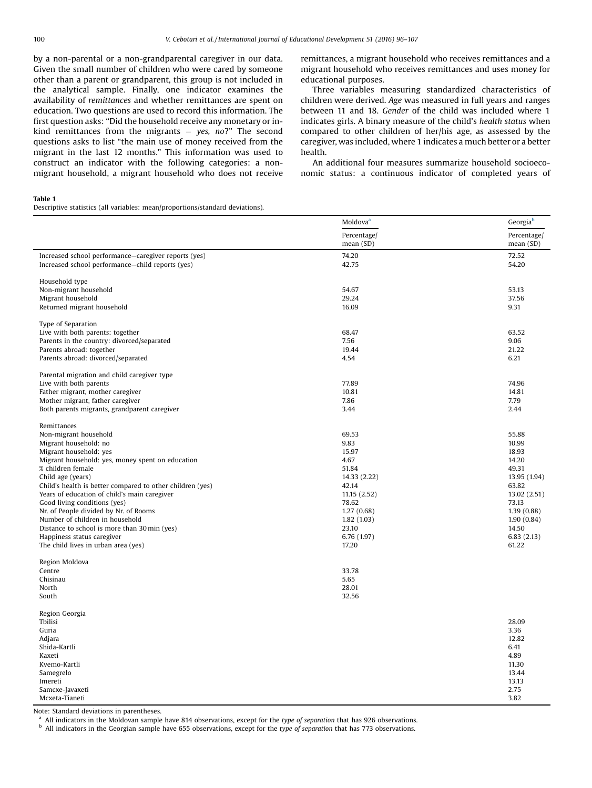<span id="page-5-0"></span>by a non-parental or a non-grandparental caregiver in our data. Given the small number of children who were cared by someone other than a parent or grandparent, this group is not included in the analytical sample. Finally, one indicator examines the availability of remittances and whether remittances are spent on education. Two questions are used to record this information. The first question asks: "Did the household receive any monetary or inkind remittances from the migrants  $-$  yes, no?" The second questions asks to list "the main use of money received from the migrant in the last 12 months." This information was used to construct an indicator with the following categories: a nonmigrant household, a migrant household who does not receive

remittances, a migrant household who receives remittances and a migrant household who receives remittances and uses money for educational purposes.

Three variables measuring standardized characteristics of children were derived. Age was measured in full years and ranges between 11 and 18. Gender of the child was included where 1 indicates girls. A binary measure of the child's health status when compared to other children of her/his age, as assessed by the caregiver, was included, where 1 indicates a much better or a better health.

An additional four measures summarize household socioeconomic status: a continuous indicator of completed years of

#### Table 1

Descriptive statistics (all variables: mean/proportions/standard deviations).

|                                                                            | Moldova <sup>a</sup> | Georgia <sup>b</sup> |  |  |
|----------------------------------------------------------------------------|----------------------|----------------------|--|--|
|                                                                            | Percentage/          | Percentage/          |  |  |
|                                                                            | mean (SD)            | mean (SD)            |  |  |
| Increased school performance-caregiver reports (yes)                       | 74.20                | 72.52                |  |  |
| Increased school performance-child reports (yes)                           | 42.75                | 54.20                |  |  |
|                                                                            |                      |                      |  |  |
| Household type<br>Non-migrant household                                    | 54.67                | 53.13                |  |  |
| Migrant household                                                          | 29.24                | 37.56                |  |  |
| Returned migrant household                                                 | 16.09                | 9.31                 |  |  |
|                                                                            |                      |                      |  |  |
| Type of Separation                                                         |                      |                      |  |  |
| Live with both parents: together                                           | 68.47                | 63.52                |  |  |
| Parents in the country: divorced/separated                                 | 7.56                 | 9.06                 |  |  |
| Parents abroad: together<br>Parents abroad: divorced/separated             | 19.44<br>4.54        | 21.22<br>6.21        |  |  |
|                                                                            |                      |                      |  |  |
| Parental migration and child caregiver type                                |                      |                      |  |  |
| Live with both parents                                                     | 77.89                | 74.96                |  |  |
| Father migrant, mother caregiver                                           | 10.81                | 14.81                |  |  |
| Mother migrant, father caregiver                                           | 7.86                 | 7.79                 |  |  |
| Both parents migrants, grandparent caregiver                               | 3.44                 | 2.44                 |  |  |
| Remittances                                                                |                      |                      |  |  |
| Non-migrant household                                                      | 69.53                | 55.88                |  |  |
| Migrant household: no                                                      | 9.83                 | 10.99                |  |  |
| Migrant household: yes                                                     | 15.97                | 18.93                |  |  |
| Migrant household: yes, money spent on education                           | 4.67                 | 14.20                |  |  |
| % children female                                                          | 51.84                | 49.31                |  |  |
| Child age (years)                                                          | 14.33 (2.22)         | 13.95 (1.94)         |  |  |
| Child's health is better compared to other children (yes)                  | 42.14                | 63.82                |  |  |
| Years of education of child's main caregiver                               | 11.15(2.52)          | 13.02 (2.51)         |  |  |
| Good living conditions (yes)                                               | 78.62                | 73.13                |  |  |
| Nr. of People divided by Nr. of Rooms                                      | 1.27(0.68)           | 1.39(0.88)           |  |  |
| Number of children in household                                            | 1.82(1.03)           | 1.90(0.84)<br>14.50  |  |  |
| Distance to school is more than 30 min (yes)<br>Happiness status caregiver | 23.10<br>6.76 (1.97) | 6.83(2.13)           |  |  |
| The child lives in urban area (yes)                                        | 17.20                | 61.22                |  |  |
|                                                                            |                      |                      |  |  |
| Region Moldova                                                             |                      |                      |  |  |
| Centre                                                                     | 33.78                |                      |  |  |
| Chisinau                                                                   | 5.65                 |                      |  |  |
| North                                                                      | 28.01                |                      |  |  |
| South                                                                      | 32.56                |                      |  |  |
| Region Georgia                                                             |                      |                      |  |  |
| Tbilisi                                                                    |                      | 28.09                |  |  |
| Guria                                                                      |                      | 3.36                 |  |  |
| Adjara                                                                     |                      | 12.82                |  |  |
| Shida-Kartli                                                               |                      | 6.41                 |  |  |
| Kaxeti                                                                     |                      | 4.89                 |  |  |
| Kvemo-Kartli                                                               |                      | 11.30                |  |  |
| Samegrelo<br>Imereti                                                       |                      | 13.44<br>13.13       |  |  |
| Samcxe-Javaxeti                                                            |                      | 2.75                 |  |  |
| Mcxeta-Tianeti                                                             |                      | 3.82                 |  |  |
|                                                                            |                      |                      |  |  |

Note: Standard deviations in parentheses.

 $^{\text{a}}$  All indicators in the Moldovan sample have 814 observations, except for the type of separation that has 926 observations.

b All indicators in the Georgian sample have 655 observations, except for the type of separation that has 773 observations.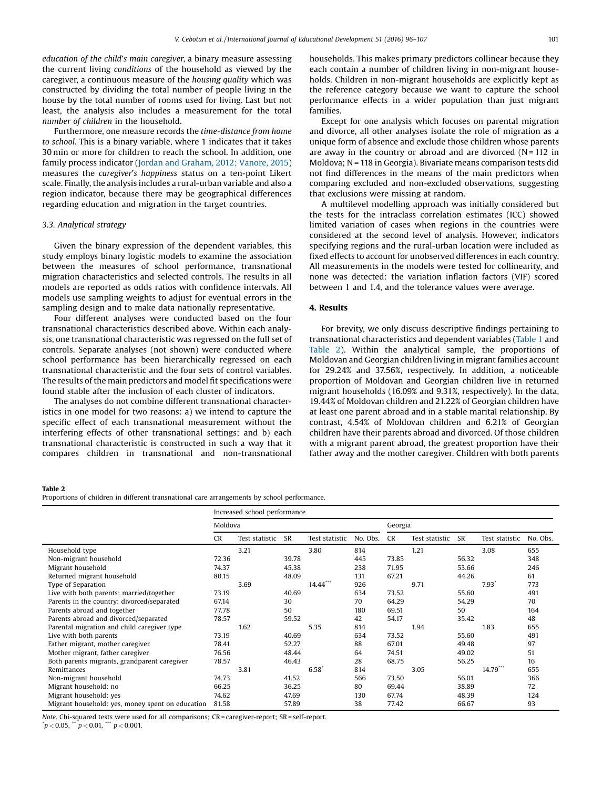<span id="page-6-0"></span>education of the child's main caregiver, a binary measure assessing the current living conditions of the household as viewed by the caregiver, a continuous measure of the housing quality which was constructed by dividing the total number of people living in the house by the total number of rooms used for living. Last but not least, the analysis also includes a measurement for the total number of children in the household.

Furthermore, one measure records the time-distance from home to school. This is a binary variable, where 1 indicates that it takes 30 min or more for children to reach the school. In addition, one family process indicator (Jordan and [Graham,](#page-12-0) 2012; Vanore, 2015) measures the caregiver's happiness status on a ten-point Likert scale. Finally, the analysis includes a rural-urban variable and also a region indicator, because there may be geographical differences regarding education and migration in the target countries.

#### 3.3. Analytical strategy

Given the binary expression of the dependent variables, this study employs binary logistic models to examine the association between the measures of school performance, transnational migration characteristics and selected controls. The results in all models are reported as odds ratios with confidence intervals. All models use sampling weights to adjust for eventual errors in the sampling design and to make data nationally representative.

Four different analyses were conducted based on the four transnational characteristics described above. Within each analysis, one transnational characteristic was regressed on the full set of controls. Separate analyses (not shown) were conducted where school performance has been hierarchically regressed on each transnational characteristic and the four sets of control variables. The results of the main predictors and model fit specifications were found stable after the inclusion of each cluster of indicators.

The analyses do not combine different transnational characteristics in one model for two reasons: a) we intend to capture the specific effect of each transnational measurement without the interfering effects of other transnational settings; and b) each transnational characteristic is constructed in such a way that it compares children in transnational and non-transnational households. This makes primary predictors collinear because they each contain a number of children living in non-migrant households. Children in non-migrant households are explicitly kept as the reference category because we want to capture the school performance effects in a wider population than just migrant families.

Except for one analysis which focuses on parental migration and divorce, all other analyses isolate the role of migration as a unique form of absence and exclude those children whose parents are away in the country or abroad and are divorced  $(N = 112$  in Moldova; N = 118 in Georgia). Bivariate means comparison tests did not find differences in the means of the main predictors when comparing excluded and non-excluded observations, suggesting that exclusions were missing at random.

A multilevel modelling approach was initially considered but the tests for the intraclass correlation estimates (ICC) showed limited variation of cases when regions in the countries were considered at the second level of analysis. However, indicators specifying regions and the rural-urban location were included as fixed effects to account for unobserved differences in each country. All measurements in the models were tested for collinearity, and none was detected: the variation inflation factors (VIF) scored between 1 and 1.4, and the tolerance values were average.

## 4. Results

For brevity, we only discuss descriptive findings pertaining to transnational characteristics and dependent variables [\(Table](#page-5-0) 1 and Table 2). Within the analytical sample, the proportions of Moldovan and Georgian children living in migrant families account for 29.24% and 37.56%, respectively. In addition, a noticeable proportion of Moldovan and Georgian children live in returned migrant households (16.09% and 9.31%, respectively). In the data, 19.44% of Moldovan children and 21.22% of Georgian children have at least one parent abroad and in a stable marital relationship. By contrast, 4.54% of Moldovan children and 6.21% of Georgian children have their parents abroad and divorced. Of those children with a migrant parent abroad, the greatest proportion have their father away and the mother caregiver. Children with both parents

#### Table 2

Proportions of children in different transnational care arrangements by school performance.

|                                                  | Increased school performance |                |           |                        |          |           |                |           |                     |          |
|--------------------------------------------------|------------------------------|----------------|-----------|------------------------|----------|-----------|----------------|-----------|---------------------|----------|
|                                                  | Moldova                      |                |           |                        |          | Georgia   |                |           |                     |          |
|                                                  | <b>CR</b>                    | Test statistic | <b>SR</b> | Test statistic         | No. Obs. | <b>CR</b> | Test statistic | <b>SR</b> | Test statistic      | No. Obs. |
| Household type                                   |                              | 3.21           |           | 3.80                   | 814      |           | 1.21           |           | 3.08                | 655      |
| Non-migrant household                            | 72.36                        |                | 39.78     |                        | 445      | 73.85     |                | 56.32     |                     | 348      |
| Migrant household                                | 74.37                        |                | 45.38     |                        | 238      | 71.95     |                | 53.66     |                     | 246      |
| Returned migrant household                       | 80.15                        |                | 48.09     |                        | 131      | 67.21     |                | 44.26     |                     | 61       |
| Type of Separation                               |                              | 3.69           |           | $14.44$ <sup>***</sup> | 926      |           | 9.71           |           | $7.93$ <sup>*</sup> | 773      |
| Live with both parents: married/together         | 73.19                        |                | 40.69     |                        | 634      | 73.52     |                | 55.60     |                     | 491      |
| Parents in the country: divorced/separated       | 67.14                        |                | 30        |                        | 70       | 64.29     |                | 54.29     |                     | 70       |
| Parents abroad and together                      | 77.78                        |                | 50        |                        | 180      | 69.51     |                | 50        |                     | 164      |
| Parents abroad and divorced/separated            | 78.57                        |                | 59.52     |                        | 42       | 54.17     |                | 35.42     |                     | 48       |
| Parental migration and child caregiver type      |                              | 1.62           |           | 5.35                   | 814      |           | 1.94           |           | 1.83                | 655      |
| Live with both parents                           | 73.19                        |                | 40.69     |                        | 634      | 73.52     |                | 55.60     |                     | 491      |
| Father migrant, mother caregiver                 | 78.41                        |                | 52.27     |                        | 88       | 67.01     |                | 49.48     |                     | 97       |
| Mother migrant, father caregiver                 | 76.56                        |                | 48.44     |                        | 64       | 74.51     |                | 49.02     |                     | 51       |
| Both parents migrants, grandparent caregiver     | 78.57                        |                | 46.43     |                        | 28       | 68.75     |                | 56.25     |                     | 16       |
| Remittances                                      |                              | 3.81           |           | 6.58                   | 814      |           | 3.05           |           | 14.79               | 655      |
| Non-migrant household                            | 74.73                        |                | 41.52     |                        | 566      | 73.50     |                | 56.01     |                     | 366      |
| Migrant household: no                            | 66.25                        |                | 36.25     |                        | 80       | 69.44     |                | 38.89     |                     | 72       |
| Migrant household: yes                           | 74.62                        |                | 47.69     |                        | 130      | 67.74     |                | 48.39     |                     | 124      |
| Migrant household: yes, money spent on education | 81.58                        |                | 57.89     |                        | 38       | 77.42     |                | 66.67     |                     | 93       |

Note. Chi-squared tests were used for all comparisons; CR = caregiver-report; SR = self-report.

 $\degree p < 0.05$ ,  $\degree$   $p < 0.01$ ,  $\degree$   $\degree$   $p < 0.001$ .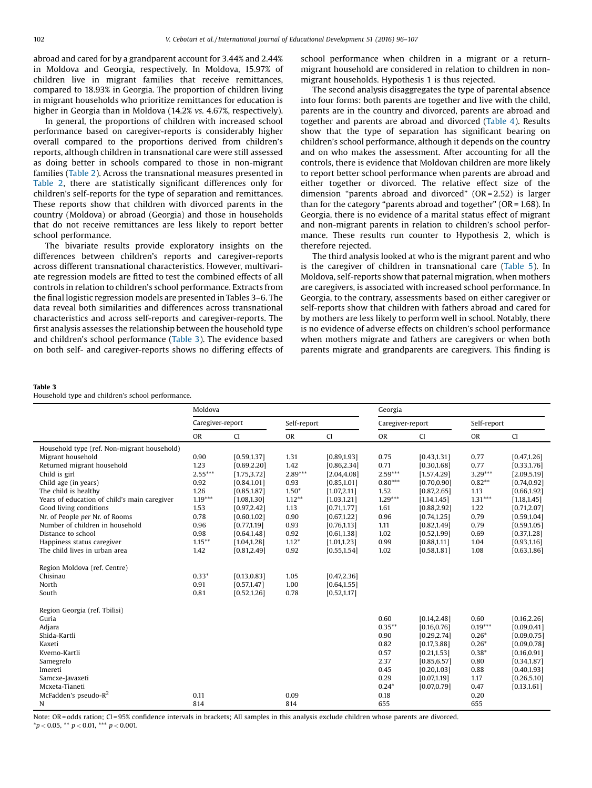abroad and cared for by a grandparent account for 3.44% and 2.44% in Moldova and Georgia, respectively. In Moldova, 15.97% of children live in migrant families that receive remittances, compared to 18.93% in Georgia. The proportion of children living in migrant households who prioritize remittances for education is higher in Georgia than in Moldova (14.2% vs. 4.67%, respectively).

In general, the proportions of children with increased school performance based on caregiver-reports is considerably higher overall compared to the proportions derived from children's reports, although children in transnational care were still assessed as doing better in schools compared to those in non-migrant families [\(Table](#page-6-0) 2). Across the transnational measures presented in [Table](#page-6-0) 2, there are statistically significant differences only for children's self-reports for the type of separation and remittances. These reports show that children with divorced parents in the country (Moldova) or abroad (Georgia) and those in households that do not receive remittances are less likely to report better school performance.

The bivariate results provide exploratory insights on the differences between children's reports and caregiver-reports across different transnational characteristics. However, multivariate regression models are fitted to test the combined effects of all controls in relation to children's school performance. Extracts from the final logistic regression models are presented in Tables 3–6. The data reveal both similarities and differences across transnational characteristics and across self-reports and caregiver-reports. The first analysis assesses the relationship between the household type and children's school performance (Table 3). The evidence based on both self- and caregiver-reports shows no differing effects of school performance when children in a migrant or a returnmigrant household are considered in relation to children in nonmigrant households. Hypothesis 1 is thus rejected.

The second analysis disaggregates the type of parental absence into four forms: both parents are together and live with the child, parents are in the country and divorced, parents are abroad and together and parents are abroad and divorced ([Table](#page-8-0) 4). Results show that the type of separation has significant bearing on children's school performance, although it depends on the country and on who makes the assessment. After accounting for all the controls, there is evidence that Moldovan children are more likely to report better school performance when parents are abroad and either together or divorced. The relative effect size of the dimension "parents abroad and divorced" (OR = 2.52) is larger than for the category "parents abroad and together" ( $OR = 1.68$ ). In Georgia, there is no evidence of a marital status effect of migrant and non-migrant parents in relation to children's school performance. These results run counter to Hypothesis 2, which is therefore rejected.

The third analysis looked at who is the migrant parent and who is the caregiver of children in transnational care [\(Table](#page-9-0) 5). In Moldova, self-reports show that paternal migration, when mothers are caregivers, is associated with increased school performance. In Georgia, to the contrary, assessments based on either caregiver or self-reports show that children with fathers abroad and cared for by mothers are less likely to perform well in school. Notably, there is no evidence of adverse effects on children's school performance when mothers migrate and fathers are caregivers or when both parents migrate and grandparents are caregivers. This finding is

#### Table 3

Household type and children's school performance.

|                                              | Moldova          |              |             |              | Georgia          |              |             |              |  |
|----------------------------------------------|------------------|--------------|-------------|--------------|------------------|--------------|-------------|--------------|--|
|                                              | Caregiver-report |              | Self-report |              | Caregiver-report |              | Self-report |              |  |
|                                              | <b>OR</b>        | <b>CI</b>    | <b>OR</b>   | <b>CI</b>    | <b>OR</b>        | <b>CI</b>    | <b>OR</b>   | <b>CI</b>    |  |
| Household type (ref. Non-migrant household)  |                  |              |             |              |                  |              |             |              |  |
| Migrant household                            | 0.90             | [0.59, 1.37] | 1.31        | [0.89, 1.93] | 0.75             | [0.43, 1.31] | 0.77        | [0.47, 1.26] |  |
| Returned migrant household                   | 1.23             | [0.69, 2.20] | 1.42        | [0.86, 2.34] | 0.71             | [0.30, 1.68] | 0.77        | [0.33, 1.76] |  |
| Child is girl                                | $2.55***$        | [1.75, 3.72] | $2.89***$   | [2.04, 4.08] | $2.59***$        | [1.57, 4.29] | $3.29***$   | [2.09, 5.19] |  |
| Child age (in years)                         | 0.92             | [0.84, 1.01] | 0.93        | [0.85, 1.01] | $0.80***$        | [0.70, 0.90] | $0.82**$    | [0.74, 0.92] |  |
| The child is healthy                         | 1.26             | [0.85, 1.87] | $1.50*$     | [1.07, 2.11] | 1.52             | [0.87, 2.65] | 1.13        | [0.66, 1.92] |  |
| Years of education of child's main caregiver | $1.19***$        | [1.08, 1.30] | $1.12***$   | [1.03, 1.21] | $1.29***$        | [1.14, 1.45] | $1.31***$   | [1.18, 1.45] |  |
| Good living conditions                       | 1.53             | [0.97, 2.42] | 1.13        | [0.71, 1.77] | 1.61             | [0.88, 2.92] | 1.22        | [0.71, 2.07] |  |
| Nr. of People per Nr. of Rooms               | 0.78             | [0.60, 1.02] | 0.90        | [0.67, 1.22] | 0.96             | [0.74, 1.25] | 0.79        | [0.59, 1.04] |  |
| Number of children in household              | 0.96             | [0.77, 1.19] | 0.93        | [0.76, 1.13] | 1.11             | [0.82, 1.49] | 0.79        | [0.59, 1.05] |  |
| Distance to school                           | 0.98             | [0.64, 1.48] | 0.92        | [0.61, 1.38] | 1.02             | [0.52, 1.99] | 0.69        | [0.37, 1.28] |  |
| Happiness status caregiver                   | $1.15***$        | [1.04, 1.28] | $1.12*$     | [1.01, 1.23] | 0.99             | [0.88, 1.11] | 1.04        | [0.93, 1.16] |  |
| The child lives in urban area                | 1.42             | [0.81, 2.49] | 0.92        | [0.55, 1.54] | 1.02             | [0.58, 1.81] | 1.08        | [0.63, 1.86] |  |
| Region Moldova (ref. Centre)                 |                  |              |             |              |                  |              |             |              |  |
| Chisinau                                     | $0.33*$          | [0.13, 0.83] | 1.05        | [0.47, 2.36] |                  |              |             |              |  |
| North                                        | 0.91             | [0.57, 1.47] | 1.00        | [0.64, 1.55] |                  |              |             |              |  |
| South                                        | 0.81             | [0.52, 1.26] | 0.78        | [0.52, 1.17] |                  |              |             |              |  |
| Region Georgia (ref. Tbilisi)                |                  |              |             |              |                  |              |             |              |  |
| Guria                                        |                  |              |             |              | 0.60             | [0.14, 2.48] | 0.60        | [0.16, 2.26] |  |
| Adjara                                       |                  |              |             |              | $0.35***$        | [0.16, 0.76] | $0.19***$   | [0.09, 0.41] |  |
| Shida-Kartli                                 |                  |              |             |              | 0.90             | [0.29, 2.74] | $0.26*$     | [0.09, 0.75] |  |
| Kaxeti                                       |                  |              |             |              | 0.82             | [0.17, 3.88] | $0.26*$     | [0.09, 0.78] |  |
| Kvemo-Kartli                                 |                  |              |             |              | 0.57             | [0.21, 1.53] | $0.38*$     | [0.16, 0.91] |  |
| Samegrelo                                    |                  |              |             |              | 2.37             | [0.85, 6.57] | 0.80        | [0.34, 1.87] |  |
| Imereti                                      |                  |              |             |              | 0.45             | [0.20, 1.03] | 0.88        | [0.40, 1.93] |  |
| Samcxe-Javaxeti                              |                  |              |             |              | 0.29             | [0.07, 1.19] | 1.17        | [0.26, 5.10] |  |
| Mcxeta-Tianeti                               |                  |              |             |              | $0.24*$          | [0.07, 0.79] | 0.47        | [0.13, 1.61] |  |
| McFadden's pseudo- $R^2$                     | 0.11             |              | 0.09        |              | 0.18             |              | 0.20        |              |  |
| N                                            | 814              |              | 814         |              | 655              |              | 655         |              |  |

Note: OR = odds ration; CI = 95% confidence intervals in brackets; All samples in this analysis exclude children whose parents are divorced.  $**p* < 0.05$ ,  $** *p* < 0.01$ ,  $*** *p* < 0.001$ .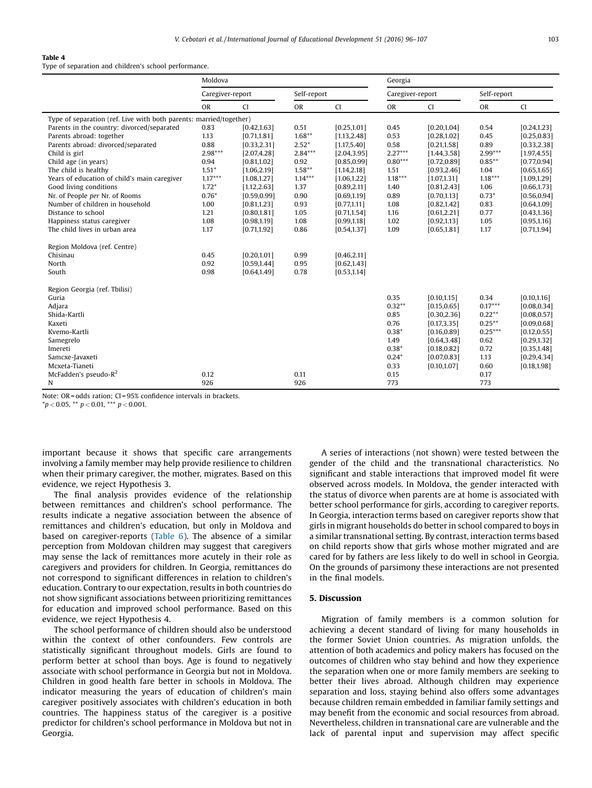#### <span id="page-8-0"></span>Table 4

Type of separation and children's school performance.

|                                                                    | Moldova          |              |             |              | Georgia          |              |             |              |
|--------------------------------------------------------------------|------------------|--------------|-------------|--------------|------------------|--------------|-------------|--------------|
|                                                                    | Caregiver-report |              | Self-report |              | Caregiver-report |              | Self-report |              |
|                                                                    | <b>OR</b>        | <b>CI</b>    | <b>OR</b>   | CI           | <b>OR</b>        | <b>CI</b>    | <b>OR</b>   | <b>CI</b>    |
| Type of separation (ref. Live with both parents: married/together) |                  |              |             |              |                  |              |             |              |
| Parents in the country: divorced/separated                         | 0.83             | [0.42, 1.63] | 0.51        | [0.25, 1.01] | 0.45             | [0.20, 1.04] | 0.54        | [0.24, 1.23] |
| Parents abroad: together                                           | 1.13             | [0.71, 1.81] | $1.68***$   | [1.13, 2.48] | 0.53             | [0.28, 1.02] | 0.45        | [0.25, 0.83] |
| Parents abroad: divorced/separated                                 | 0.88             | [0.33, 2.31] | $2.52*$     | [1.17, 5.40] | 0.58             | [0.21, 1.58] | 0.89        | [0.33, 2.38] |
| Child is girl                                                      | $2.98***$        | [2.07, 4.28] | $2.84***$   | [2.04, 3.95] | $2.27***$        | [1.44, 3.58] | $2.99***$   | [1.97, 4.55] |
| Child age (in years)                                               | 0.94             | [0.81, 1.02] | 0.92        | [0.85, 0.99] | $0.80***$        | [0.72, 0.89] | $0.85***$   | [0.77, 0.94] |
| The child is healthy                                               | $1.51*$          | [1.06, 2.19] | $1.58***$   | [1.14, 2.18] | 1.51             | [0.93, 2.46] | 1.04        | [0.65, 1.65] |
| Years of education of child's main caregiver                       | $1.17***$        | [1.08, 1.27] | $1.14***$   | [1.06, 1.22] | $1.18***$        | [1.07, 1.31] | $1.18***$   | [1.09, 1.29] |
| Good living conditions                                             | $1.72*$          | [1.12, 2.63] | 1.37        | [0.89, 2.11] | 1.40             | [0.81, 2.43] | 1.06        | [0.66, 1.73] |
| Nr. of People per Nr. of Rooms                                     | $0.76*$          | [0.59, 0.99] | 0.90        | [0.69, 1.19] | 0.89             | [0.70, 1.13] | $0.73*$     | [0.56, 0.94] |
| Number of children in household                                    | 1.00             | [0.81, 1.23] | 0.93        | [0.77, 1.11] | 1.08             | [0.82, 1.42] | 0.83        | [0.64, 1.09] |
| Distance to school                                                 | 1.21             | [0.80, 1.81] | 1.05        | [0.71, 1.54] | 1.16             | [0.61, 2.21] | 0.77        | [0.43, 1.36] |
| Happiness status caregiver                                         | 1.08             | [0.98, 1.19] | 1.08        | [0.99, 1.18] | 1.02             | [0.92, 1.13] | 1.05        | [0.95, 1.16] |
| The child lives in urban area                                      | 1.17             | [0.71, 1.92] | 0.86        | [0.54, 1.37] | 1.09             | [0.65, 1.81] | 1.17        | [0.71, 1.94] |
| Region Moldova (ref. Centre)                                       |                  |              |             |              |                  |              |             |              |
| Chisinau                                                           | 0.45             | [0.20, 1.01] | 0.99        | [0.46, 2.11] |                  |              |             |              |
| North                                                              | 0.92             | [0.59, 1.44] | 0.95        | [0.62, 1.43] |                  |              |             |              |
| South                                                              | 0.98             | [0.64, 1.49] | 0.78        | [0.53, 1.14] |                  |              |             |              |
| Region Georgia (ref. Tbilisi)                                      |                  |              |             |              |                  |              |             |              |
| Guria                                                              |                  |              |             |              | 0.35             | [0.10, 1.15] | 0.34        | [0.10, 1.16] |
| Adjara                                                             |                  |              |             |              | $0.32**$         | [0.15, 0.65] | $0.17***$   | [0.08, 0.34] |
| Shida-Kartli                                                       |                  |              |             |              | 0.85             | [0.30, 2.36] | $0.22**$    | [0.08, 0.57] |
| Kaxeti                                                             |                  |              |             |              | 0.76             | [0.17, 3.35] | $0.25***$   | [0.09, 0.68] |
| Kvemo-Kartli                                                       |                  |              |             |              | $0.38*$          | [0.16, 0.89] | $0.25***$   | [0.12, 0.55] |
| Samegrelo                                                          |                  |              |             |              | 1.49             | [0.64, 3.48] | 0.62        | [0.29, 1.32] |
| Imereti                                                            |                  |              |             |              | $0.38*$          | [0.18, 0.82] | 0.72        | [0.35, 1.48] |
| Samcxe-Javaxeti                                                    |                  |              |             |              | $0.24*$          | [0.07, 0.83] | 1.13        | [0.29, 4.34] |
| Mcxeta-Tianeti                                                     |                  |              |             |              | 0.33             | [0.10, 1.07] | 0.60        | [0.18, 1.98] |
| McFadden's pseudo- $R^2$                                           | 0.12             |              | 0.11        |              | 0.15             |              | 0.17        |              |
| N                                                                  | 926              |              | 926         |              | 773              |              | 773         |              |

Note: OR = odds ration; CI = 95% confidence intervals in brackets.

 $*p$  < 0.05, \*\*  $p$  < 0.01, \*\*\*  $p$  < 0.001.

important because it shows that specific care arrangements involving a family member may help provide resilience to children when their primary caregiver, the mother, migrates. Based on this evidence, we reject Hypothesis 3.

The final analysis provides evidence of the relationship between remittances and children's school performance. The results indicate a negative association between the absence of remittances and children's education, but only in Moldova and based on caregiver-reports [\(Table](#page-10-0) 6). The absence of a similar perception from Moldovan children may suggest that caregivers may sense the lack of remittances more acutely in their role as caregivers and providers for children. In Georgia, remittances do not correspond to significant differences in relation to children's education. Contrary to our expectation, results in both countries do not show significant associations between prioritizing remittances for education and improved school performance. Based on this evidence, we reject Hypothesis 4.

The school performance of children should also be understood within the context of other confounders. Few controls are statistically significant throughout models. Girls are found to perform better at school than boys. Age is found to negatively associate with school performance in Georgia but not in Moldova. Children in good health fare better in schools in Moldova. The indicator measuring the years of education of children's main caregiver positively associates with children's education in both countries. The happiness status of the caregiver is a positive predictor for children's school performance in Moldova but not in Georgia.

A series of interactions (not shown) were tested between the gender of the child and the transnational characteristics. No significant and stable interactions that improved model fit were observed across models. In Moldova, the gender interacted with the status of divorce when parents are at home is associated with better school performance for girls, according to caregiver reports. In Georgia, interaction terms based on caregiver reports show that girls in migrant households do better in school compared to boys in a similar transnational setting. By contrast, interaction terms based on child reports show that girls whose mother migrated and are cared for by fathers are less likely to do well in school in Georgia. On the grounds of parsimony these interactions are not presented in the final models.

## 5. Discussion

Migration of family members is a common solution for achieving a decent standard of living for many households in the former Soviet Union countries. As migration unfolds, the attention of both academics and policy makers has focused on the outcomes of children who stay behind and how they experience the separation when one or more family members are seeking to better their lives abroad. Although children may experience separation and loss, staying behind also offers some advantages because children remain embedded in familiar family settings and may benefit from the economic and social resources from abroad. Nevertheless, children in transnational care are vulnerable and the lack of parental input and supervision may affect specific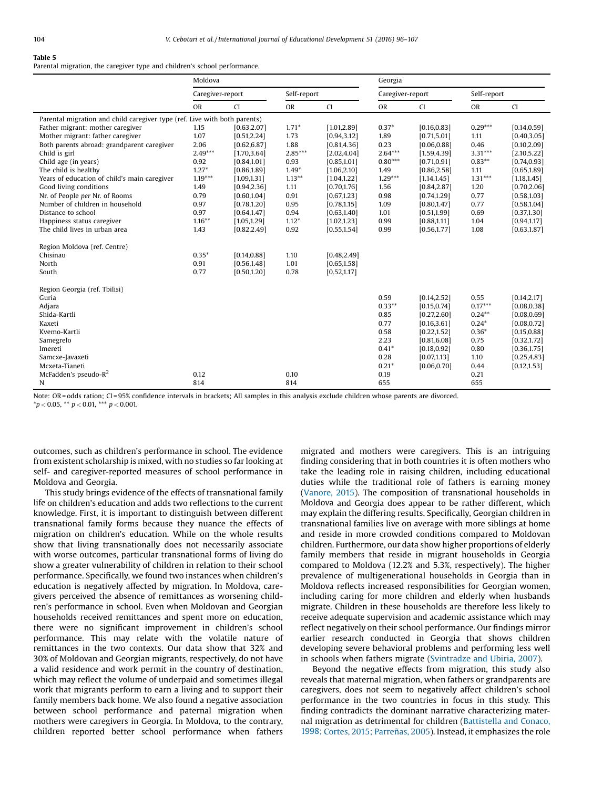## <span id="page-9-0"></span>Table 5

Parental migration, the caregiver type and children's school performance.

|                                                                           | Moldova          |              |             |              | Georgia          |              |             |              |  |
|---------------------------------------------------------------------------|------------------|--------------|-------------|--------------|------------------|--------------|-------------|--------------|--|
|                                                                           | Caregiver-report |              | Self-report |              | Caregiver-report |              | Self-report |              |  |
|                                                                           | <b>OR</b>        | <b>CI</b>    | <b>OR</b>   | CI           | <b>OR</b>        | CI           | <b>OR</b>   | <b>CI</b>    |  |
| Parental migration and child caregiver type (ref. Live with both parents) |                  |              |             |              |                  |              |             |              |  |
| Father migrant: mother caregiver                                          | 1.15             | [0.63, 2.07] | $1.71*$     | [1.01, 2.89] | $0.37*$          | [0.16, 0.83] | $0.29***$   | [0.14, 0.59] |  |
| Mother migrant: father caregiver                                          | 1.07             | [0.51, 2.24] | 1.73        | [0.94, 3.12] | 1.89             | [0.71, 5.01] | 1.11        | [0.40, 3.05] |  |
| Both parents abroad: grandparent caregiver                                | 2.06             | [0.62, 6.87] | 1.88        | [0.81, 4.36] | 0.23             | [0.06, 0.88] | 0.46        | [0.10, 2.09] |  |
| Child is girl                                                             | $2.49***$        | [1.70, 3.64] | $2.85***$   | [2.02, 4.04] | $2.64***$        | [1.59, 4.39] | $3.31***$   | [2.10, 5.22] |  |
| Child age (in years)                                                      | 0.92             | [0.84, 1.01] | 0.93        | [0.85, 1.01] | $0.80***$        | [0.71, 0.91] | $0.83**$    | [0.74, 0.93] |  |
| The child is healthy                                                      | $1.27*$          | [0.86, 1.89] | $1.49*$     | [1.06, 2.10] | 1.49             | [0.86, 2.58] | 1.11        | [0.65, 1.89] |  |
| Years of education of child's main caregiver                              | $1.19***$        | [1.09, 1.31] | $1.13***$   | [1.04, 1.22] | $1.29***$        | [1.14, 1.45] | $1.31***$   | [1.18, 1.45] |  |
| Good living conditions                                                    | 1.49             | [0.94, 2.36] | 1.11        | [0.70, 1.76] | 1.56             | [0.84, 2.87] | 1.20        | [0.70, 2.06] |  |
| Nr. of People per Nr. of Rooms                                            | 0.79             | [0.60, 1.04] | 0.91        | [0.67, 1.23] | 0.98             | [0.74, 1.29] | 0.77        | [0.58, 1.03] |  |
| Number of children in household                                           | 0.97             | [0.78, 1.20] | 0.95        | [0.78, 1.15] | 1.09             | [0.80, 1.47] | 0.77        | [0.58, 1.04] |  |
| Distance to school                                                        | 0.97             | [0.64, 1.47] | 0.94        | [0.63, 1.40] | 1.01             | [0.51, 1.99] | 0.69        | [0.37, 1.30] |  |
| Happiness status caregiver                                                | $1.16***$        | [1.05, 1.29] | $1.12*$     | [1.02, 1.23] | 0.99             | [0.88, 1.11] | 1.04        | [0.94, 1.17] |  |
| The child lives in urban area                                             | 1.43             | [0.82, 2.49] | 0.92        | [0.55, 1.54] | 0.99             | [0.56, 1.77] | 1.08        | [0.63, 1.87] |  |
| Region Moldova (ref. Centre)                                              |                  |              |             |              |                  |              |             |              |  |
| Chisinau                                                                  | $0.35*$          | [0.14, 0.88] | 1.10        | [0.48, 2.49] |                  |              |             |              |  |
| North                                                                     | 0.91             | [0.56, 1.48] | 1.01        | [0.65, 1.58] |                  |              |             |              |  |
| South                                                                     | 0.77             | [0.50, 1.20] | 0.78        | [0.52, 1.17] |                  |              |             |              |  |
| Region Georgia (ref. Tbilisi)                                             |                  |              |             |              |                  |              |             |              |  |
| Guria                                                                     |                  |              |             |              | 0.59             | [0.14, 2.52] | 0.55        | [0.14, 2.17] |  |
| Adjara                                                                    |                  |              |             |              | $0.33**$         | [0.15, 0.74] | $0.17***$   | [0.08, 0.38] |  |
| Shida-Kartli                                                              |                  |              |             |              | 0.85             | [0.27, 2.60] | $0.24***$   | [0.08, 0.69] |  |
| Kaxeti                                                                    |                  |              |             |              | 0.77             | [0.16, 3.61] | $0.24*$     | [0.08, 0.72] |  |
| Kvemo-Kartli                                                              |                  |              |             |              | 0.58             | [0.22, 1.52] | $0.36*$     | [0.15, 0.88] |  |
| Samegrelo                                                                 |                  |              |             |              | 2.23             | [0.81, 6.08] | 0.75        | [0.32, 1.72] |  |
| Imereti                                                                   |                  |              |             |              | $0.41*$          | [0.18, 0.92] | 0.80        | [0.36, 1.75] |  |
| Samcxe-Javaxeti                                                           |                  |              |             |              | 0.28             | [0.07, 1.13] | 1.10        | [0.25, 4.83] |  |
| Mcxeta-Tianeti                                                            |                  |              |             |              | $0.21*$          | [0.06, 0.70] | 0.44        | [0.12, 1.53] |  |
| McFadden's pseudo- $R^2$                                                  | 0.12             |              | 0.10        |              | 0.19             |              | 0.21        |              |  |
| N                                                                         | 814              |              | 814         |              | 655              |              | 655         |              |  |

Note: OR = odds ration; CI = 95% confidence intervals in brackets; All samples in this analysis exclude children whose parents are divorced.

 $**p* < 0.05$ ,  $**p* < 0.01$ ,  $**p* < 0.001$ .

outcomes, such as children's performance in school. The evidence from existent scholarship is mixed, with no studies so far looking at self- and caregiver-reported measures of school performance in Moldova and Georgia.

This study brings evidence of the effects of transnational family life on children's education and adds two reflections to the current knowledge. First, it is important to distinguish between different transnational family forms because they nuance the effects of migration on children's education. While on the whole results show that living transnationally does not necessarily associate with worse outcomes, particular transnational forms of living do show a greater vulnerability of children in relation to their school performance. Specifically, we found two instances when children's education is negatively affected by migration. In Moldova, caregivers perceived the absence of remittances as worsening children's performance in school. Even when Moldovan and Georgian households received remittances and spent more on education, there were no significant improvement in children's school performance. This may relate with the volatile nature of remittances in the two contexts. Our data show that 32% and 30% of Moldovan and Georgian migrants, respectively, do not have a valid residence and work permit in the country of destination, which may reflect the volume of underpaid and sometimes illegal work that migrants perform to earn a living and to support their family members back home. We also found a negative association between school performance and paternal migration when mothers were caregivers in Georgia. In Moldova, to the contrary, children reported better school performance when fathers

migrated and mothers were caregivers. This is an intriguing finding considering that in both countries it is often mothers who take the leading role in raising children, including educational duties while the traditional role of fathers is earning money ([Vanore,](#page-12-0) 2015). The composition of transnational households in Moldova and Georgia does appear to be rather different, which may explain the differing results. Specifically, Georgian children in transnational families live on average with more siblings at home and reside in more crowded conditions compared to Moldovan children. Furthermore, our data show higher proportions of elderly family members that reside in migrant households in Georgia compared to Moldova (12.2% and 5.3%, respectively). The higher prevalence of multigenerational households in Georgia than in Moldova reflects increased responsibilities for Georgian women, including caring for more children and elderly when husbands migrate. Children in these households are therefore less likely to receive adequate supervision and academic assistance which may reflect negatively on their school performance. Our findings mirror earlier research conducted in Georgia that shows children developing severe behavioral problems and performing less well in schools when fathers migrate [\(Svintradze](#page-12-0) and Ubiria, 2007).

Beyond the negative effects from migration, this study also reveals that maternal migration, when fathers or grandparents are caregivers, does not seem to negatively affect children's school performance in the two countries in focus in this study. This finding contradicts the dominant narrative characterizing maternal migration as detrimental for children [\(Battistella](#page-11-0) and Conaco, 1998; Cortes, 2015; [Parreñas,](#page-11-0) 2005). Instead, it emphasizes the role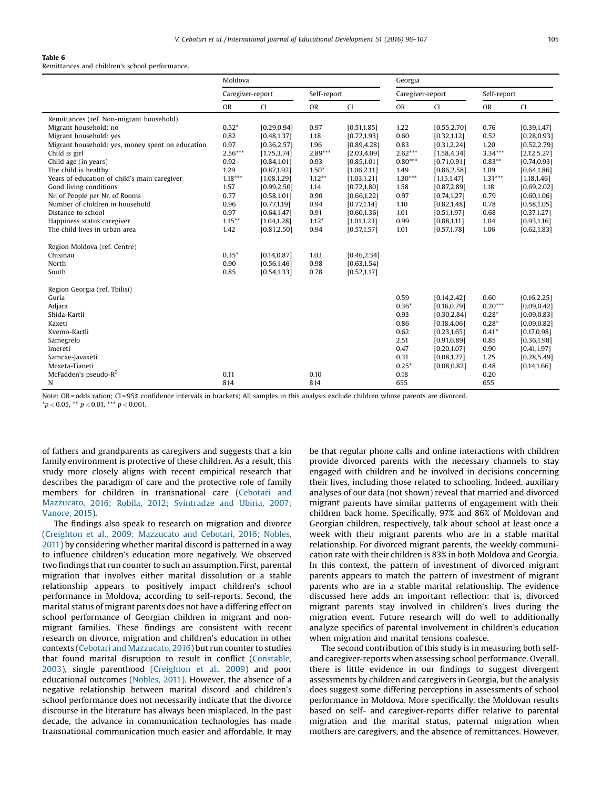#### <span id="page-10-0"></span>Table 6

Remittances and children's school performance.

|                                                  | Moldova          |              |             |              | Georgia          |              |             |              |
|--------------------------------------------------|------------------|--------------|-------------|--------------|------------------|--------------|-------------|--------------|
|                                                  | Caregiver-report |              | Self-report |              | Caregiver-report |              | Self-report |              |
|                                                  | <b>OR</b>        | CI           | <b>OR</b>   | CI           | <b>OR</b>        | CI           | <b>OR</b>   | CI           |
| Remittances (ref. Non-migrant household)         |                  |              |             |              |                  |              |             |              |
| Migrant household: no                            | $0.52*$          | [0.29, 0.94] | 0.97        | [0.51, 1.85] | 1.22             | [0.55, 2.70] | 0.76        | [0.39, 1.47] |
| Migrant household: yes                           | 0.82             | [0.48, 1.37] | 1.18        | [0.72, 1.93] | 0.60             | [0.32, 1.12] | 0.52        | [0.28, 0.93] |
| Migrant household: yes, money spent on education | 0.97             | [0.36, 2.57] | 1.96        | [0.89, 4.28] | 0.83             | [0.31, 2.24] | 1.20        | [0.52, 2.79] |
| Child is girl                                    | $2.56***$        | [1.75, 3.74] | $2.89***$   | [2.03, 4.09] | $2.62***$        | [1.58, 4.34] | $3.34***$   | [2.12, 5.27] |
| Child age (in years)                             | 0.92             | [0.84, 1.01] | 0.93        | [0.85, 1.01] | $0.80***$        | [0.71, 0.91] | $0.83**$    | [0.74, 0.93] |
| The child is healthy                             | 1.29             | [0.87, 1.92] | $1.50*$     | [1.06, 2.11] | 1.49             | [0.86, 2.58] | 1.09        | [0.64, 1.86] |
| Years of education of child's main caregiver     | $1.18***$        | [1.08, 1.29] | $1.12***$   | [1.03, 1.21] | $1.30***$        | [1.15, 1.47] | $1.31***$   | [1.18, 1.46] |
| Good living conditions                           | 1.57             | [0.99, 2.50] | 1.14        | [0.72, 1.80] | 1.58             | [0.87, 2.89] | 1.18        | [0.69, 2.02] |
| Nr. of People per Nr. of Rooms                   | 0.77             | [0.58, 1.01] | 0.90        | [0.66, 1.22] | 0.97             | [0.74, 1.27] | 0.79        | [0.60, 1.06] |
| Number of children in household                  | 0.96             | [0.77, 1.19] | 0.94        | [0.77, 1.14] | 1.10             | [0.82, 1.48] | 0.78        | [0.58, 1.05] |
| Distance to school                               | 0.97             | [0.64, 1.47] | 0.91        | [0.60, 1.36] | 1.01             | [0.51, 1.97] | 0.68        | [0.37, 1.27] |
| Happiness status caregiver                       | $1.15***$        | [1.04, 1.28] | $1.12*$     | [1.01, 1.23] | 0.99             | [0.88, 1.11] | 1.04        | [0.93, 1.16] |
| The child lives in urban area                    | 1.42             | [0.81, 2.50] | 0.94        | [0.57, 1.57] | 1.01             | [0.57, 1.78] | 1.06        | [0.62, 1.83] |
| Region Moldova (ref. Centre)                     |                  |              |             |              |                  |              |             |              |
| Chisinau                                         | $0.35*$          | [0.14, 0.87] | 1.03        | [0.46, 2.34] |                  |              |             |              |
| North                                            | 0.90             | [0.56, 1.46] | 0.98        | [0.63, 1.54] |                  |              |             |              |
| South                                            | 0.85             | [0.54, 1.33] | 0.78        | [0.52, 1.17] |                  |              |             |              |
| Region Georgia (ref. Tbilisi)                    |                  |              |             |              |                  |              |             |              |
| Guria                                            |                  |              |             |              | 0.59             | [0.14, 2.42] | 0.60        | [0.16, 2.25] |
| Adjara                                           |                  |              |             |              | $0.36*$          | [0.16, 0.79] | $0.20***$   | [0.09, 0.42] |
| Shida-Kartli                                     |                  |              |             |              | 0.93             | [0.30, 2.84] | $0.28*$     | [0.09, 0.83] |
| Kaxeti                                           |                  |              |             |              | 0.86             | [0.18, 4.06] | $0.28*$     | [0.09, 0.82] |
| Kvemo-Kartli                                     |                  |              |             |              | 0.62             | [0.23, 1.65] | $0.41*$     | [0.17, 0.98] |
| Samegrelo                                        |                  |              |             |              | 2.51             | [0.91, 6.89] | 0.85        | [0.36, 1.98] |
| Imereti                                          |                  |              |             |              | 0.47             | [0.20, 1.07] | 0.90        | [0.41, 1.97] |
| Samcxe-Javaxeti                                  |                  |              |             |              | 0.31             | [0.08, 1.27] | 1.25        | [0.28, 5.49] |
| Mcxeta-Tianeti                                   |                  |              |             |              | $0.25*$          | [0.08, 0.82] | 0.48        | [0.14, 1.66] |
| McFadden's pseudo- $R^2$                         | 0.11             |              | 0.10        |              | 0.18             |              | 0.20        |              |
| N                                                | 814              |              | 814         |              | 655              |              | 655         |              |

Note: OR = odds ration; CI = 95% confidence intervals in brackets; All samples in this analysis exclude children whose parents are divorced.

 $*p$  < 0.05, \*\*  $p$  < 0.01, \*\*\*  $p$  < 0.001.

of fathers and grandparents as caregivers and suggests that a kin family environment is protective of these children. As a result, this study more closely aligns with recent empirical research that describes the paradigm of care and the protective role of family members for children in transnational care [\(Cebotari](#page-11-0) and [Mazzucato,](#page-11-0) 2016; Robila, 2012; Svintradze and Ubiria, 2007; [Vanore,](#page-11-0) 2015).

The findings also speak to research on migration and divorce (Creighton et al., 2009; [Mazzucato](#page-11-0) and Cebotari, 2016; Nobles, [2011\)](#page-11-0) by considering whether marital discord is patterned in a way to influence children's education more negatively. We observed two findings that run counter to such an assumption. First, parental migration that involves either marital dissolution or a stable relationship appears to positively impact children's school performance in Moldova, according to self-reports. Second, the marital status of migrant parents does not have a differing effect on school performance of Georgian children in migrant and nonmigrant families. These findings are consistent with recent research on divorce, migration and children's education in other contexts (Cebotari and [Mazzucato,](#page-11-0) 2016) but run counter to studies that found marital disruption to result in conflict [\(Constable,](#page-11-0) [2003](#page-11-0)), single parenthood [\(Creighton](#page-11-0) et al., 2009) and poor educational outcomes [\(Nobles,](#page-12-0) 2011). However, the absence of a negative relationship between marital discord and children's school performance does not necessarily indicate that the divorce discourse in the literature has always been misplaced. In the past decade, the advance in communication technologies has made transnational communication much easier and affordable. It may be that regular phone calls and online interactions with children provide divorced parents with the necessary channels to stay engaged with children and be involved in decisions concerning their lives, including those related to schooling. Indeed, auxiliary analyses of our data (not shown) reveal that married and divorced migrant parents have similar patterns of engagement with their children back home. Specifically, 97% and 86% of Moldovan and Georgian children, respectively, talk about school at least once a week with their migrant parents who are in a stable marital relationship. For divorced migrant parents, the weekly communication rate with their children is 83% in both Moldova and Georgia. In this context, the pattern of investment of divorced migrant parents appears to match the pattern of investment of migrant parents who are in a stable marital relationship. The evidence discussed here adds an important reflection: that is, divorced migrant parents stay involved in children's lives during the migration event. Future research will do well to additionally analyze specifics of parental involvement in children's education when migration and marital tensions coalesce.

The second contribution of this study is in measuring both selfand caregiver-reports when assessing school performance. Overall, there is little evidence in our findings to suggest divergent assessments by children and caregivers in Georgia, but the analysis does suggest some differing perceptions in assessments of school performance in Moldova. More specifically, the Moldovan results based on self- and caregiver-reports differ relative to parental migration and the marital status, paternal migration when mothers are caregivers, and the absence of remittances. However,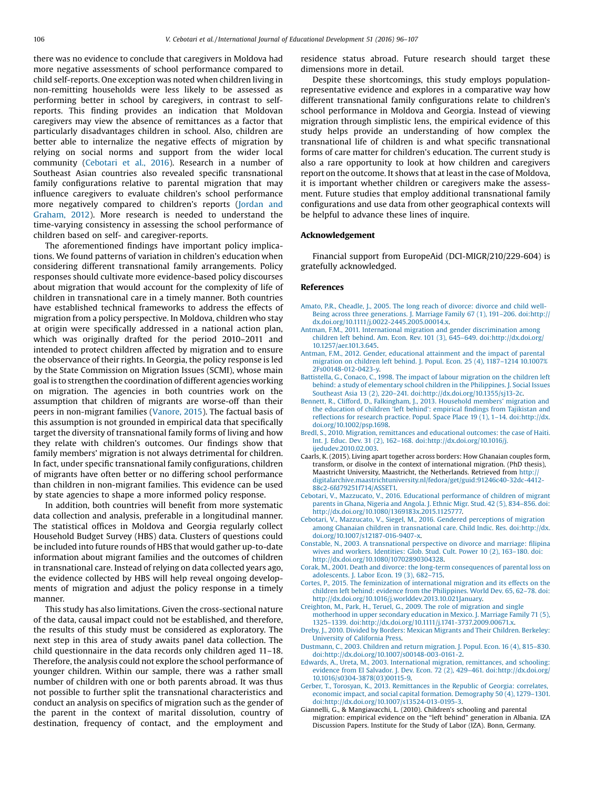<span id="page-11-0"></span>there was no evidence to conclude that caregivers in Moldova had more negative assessments of school performance compared to child self-reports. One exception was noted when children living in non-remitting households were less likely to be assessed as performing better in school by caregivers, in contrast to selfreports. This finding provides an indication that Moldovan caregivers may view the absence of remittances as a factor that particularly disadvantages children in school. Also, children are better able to internalize the negative effects of migration by relying on social norms and support from the wider local community (Cebotari et al., 2016). Research in a number of Southeast Asian countries also revealed specific transnational family configurations relative to parental migration that may influence caregivers to evaluate children's school performance more negatively compared to children's reports [\(Jordan](#page-12-0) and [Graham,](#page-12-0) 2012). More research is needed to understand the time-varying consistency in assessing the school performance of children based on self- and caregiver-reports.

The aforementioned findings have important policy implications. We found patterns of variation in children's education when considering different transnational family arrangements. Policy responses should cultivate more evidence-based policy discourses about migration that would account for the complexity of life of children in transnational care in a timely manner. Both countries have established technical frameworks to address the effects of migration from a policy perspective. In Moldova, children who stay at origin were specifically addressed in a national action plan, which was originally drafted for the period 2010–2011 and intended to protect children affected by migration and to ensure the observance of their rights. In Georgia, the policy response is led by the State Commission on Migration Issues (SCMI), whose main goal is to strengthen the coordination of different agencies working on migration. The agencies in both countries work on the assumption that children of migrants are worse-off than their peers in non-migrant families ([Vanore,](#page-12-0) 2015). The factual basis of this assumption is not grounded in empirical data that specifically target the diversity of transnational family forms of living and how they relate with children's outcomes. Our findings show that family members' migration is not always detrimental for children. In fact, under specific transnational family configurations, children of migrants have often better or no differing school performance than children in non-migrant families. This evidence can be used by state agencies to shape a more informed policy response.

In addition, both countries will benefit from more systematic data collection and analysis, preferable in a longitudinal manner. The statistical offices in Moldova and Georgia regularly collect Household Budget Survey (HBS) data. Clusters of questions could be included into future rounds of HBS that would gather up-to-date information about migrant families and the outcomes of children in transnational care. Instead of relying on data collected years ago, the evidence collected by HBS will help reveal ongoing developments of migration and adjust the policy response in a timely manner.

This study has also limitations. Given the cross-sectional nature of the data, causal impact could not be established, and therefore, the results of this study must be considered as exploratory. The next step in this area of study awaits panel data collection. The child questionnaire in the data records only children aged 11–18. Therefore, the analysis could not explore the school performance of younger children. Within our sample, there was a rather small number of children with one or both parents abroad. It was thus not possible to further split the transnational characteristics and conduct an analysis on specifics of migration such as the gender of the parent in the context of marital dissolution, country of destination, frequency of contact, and the employment and

residence status abroad. Future research should target these dimensions more in detail.

Despite these shortcomings, this study employs populationrepresentative evidence and explores in a comparative way how different transnational family configurations relate to children's school performance in Moldova and Georgia. Instead of viewing migration through simplistic lens, the empirical evidence of this study helps provide an understanding of how complex the transnational life of children is and what specific transnational forms of care matter for children's education. The current study is also a rare opportunity to look at how children and caregivers report on the outcome. It shows that at leastin the case of Moldova, it is important whether children or caregivers make the assessment. Future studies that employ additional transnational family configurations and use data from other geographical contexts will be helpful to advance these lines of inquire.

### Acknowledgement

Financial support from EuropeAid (DCI-MIGR/210/229-604) is gratefully acknowledged.

#### References

- Amato, P.R., [Cheadle,](http://refhub.elsevier.com/S0738-0593(16)30278-4/sbref0005) J., 2005. The long reach of divorce: divorce and child well-Being across three [generations.](http://refhub.elsevier.com/S0738-0593(16)30278-4/sbref0005) J. Marriage Family 67 (1), 191–206. doi:http:// [dx.doi.org/10.1111/j.0022-2445.2005.00014.x.](http://dx.doi.org/10.1111/j.0022-2445.2005.00014.x)
- Antman, F.M., 2011. International migration and gender [discrimination](http://refhub.elsevier.com/S0738-0593(16)30278-4/sbref0010) among children left behind. Am. Econ. Rev. 101 (3), 645–649. [doi:http://dx.doi.org/](http://refhub.elsevier.com/S0738-0593(16)30278-4/sbref0010) [10.1257/aer.101.3.645.](http://dx.doi.org/10.1257/aer.101.3.645)
- Antman, F.M., 2012. Gender, [educational](http://refhub.elsevier.com/S0738-0593(16)30278-4/sbref0015) attainment and the impact of parental [migration](http://refhub.elsevier.com/S0738-0593(16)30278-4/sbref0015) on children left behind. J. Popul. Econ. 25 (4), 1187–1214 10.1007% [2Fs00148-012-0423-y.](http://refhub.elsevier.com/S0738-0593(16)30278-4/sbref0015)
- [Battistella,](http://refhub.elsevier.com/S0738-0593(16)30278-4/sbref0020) G., Conaco, C., 1998. The impact of labour migration on the children left behind: a study of elementary school children in the [Philippines.](http://refhub.elsevier.com/S0738-0593(16)30278-4/sbref0020) J. Social Issues Southeast Asia 13 (2), 220–241. [doi:http://dx.doi.org/10.1355/sj13-2c.](http://refhub.elsevier.com/S0738-0593(16)30278-4/sbref0020)
- Bennett, R., Clifford, D., [Falkingham,](http://refhub.elsevier.com/S0738-0593(16)30278-4/sbref0025) J., 2013. Household members' migration and the [education](http://refhub.elsevier.com/S0738-0593(16)30278-4/sbref0025) of children 'left behind': empirical findings from Tajikistan and reflections for research practice. Popul. Space Place 19 (1), 1–14. [doi:http://dx.](http://refhub.elsevier.com/S0738-0593(16)30278-4/sbref0025) [doi.org/10.1002/psp.1698.](http://dx.doi.org/10.1002/psp.1698)
- Bredl, S., 2010. Migration, [remittances](http://refhub.elsevier.com/S0738-0593(16)30278-4/sbref0030) and educational outcomes: the case of Haiti. Int. J. Educ. Dev. 31 (2), 162–168. [doi:http://dx.doi.org/10.1016/j.](http://refhub.elsevier.com/S0738-0593(16)30278-4/sbref0030) [ijedudev.2010.02.003.](http://dx.doi.org/10.1016/j.ijedudev.2010.02.003)
- Caarls, K. (2015). Living apart together across borders: How Ghanaian couples form, transform, or disolve in the context of international migration. (PhD thesis), Maastricht University, Maastricht, the Netherlands. Retrieved from [http://](http://digitalarchive.maastrichtuniversity.nl/fedora/get/guid:91246c40-32dc-4412-88c2-6fd79251f714/ASSET1) [digitalarchive.maastrichtuniversity.nl/fedora/get/guid:91246c40-32dc-4412-](http://digitalarchive.maastrichtuniversity.nl/fedora/get/guid:91246c40-32dc-4412-88c2-6fd79251f714/ASSET1) [88c2-6fd79251f714/ASSET1.](http://digitalarchive.maastrichtuniversity.nl/fedora/get/guid:91246c40-32dc-4412-88c2-6fd79251f714/ASSET1)
- Cebotari, V., Mazzucato, V., 2016. Educational [performance](http://refhub.elsevier.com/S0738-0593(16)30278-4/sbref0040) of children of migrant parents in Ghana, Nigeria and [Angola.](http://refhub.elsevier.com/S0738-0593(16)30278-4/sbref0040) J. Ethnic Migr. Stud. 42 (5), 834–856. doi: [http://dx.doi.org/10.1080/1369183x.2015.1125777.](http://dx.doi.org/10.1080/1369183x.2015.1125777)
- Cebotari, V., Mazzucato, V., Siegel, M., 2016. Gendered [perceptions](http://refhub.elsevier.com/S0738-0593(16)30278-4/sbref0045) of migration among Ghanaian children in transnational care. Child Indic. Res. [doi:http://dx.](http://refhub.elsevier.com/S0738-0593(16)30278-4/sbref0045) [doi.org/10.1007/s12187-016-9407-x.](http://dx.doi.org/10.1007/s12187-016-9407-x)
- Constable, N., 2003. A [transnational](http://refhub.elsevier.com/S0738-0593(16)30278-4/sbref0050) perspective on divorce and marriage: filipina wives and workers. [Identities:](http://refhub.elsevier.com/S0738-0593(16)30278-4/sbref0050) Glob. Stud. Cult. Power 10 (2), 163–180. doi: [http://dx.doi.org/10.1080/10702890304328.](http://dx.doi.org/10.1080/10702890304328)
- Corak, M., 2001. Death and divorce: the long-term [consequences](http://refhub.elsevier.com/S0738-0593(16)30278-4/sbref0055) of parental loss on [adolescents.](http://refhub.elsevier.com/S0738-0593(16)30278-4/sbref0055) J. Labor Econ. 19 (3), 682–715.
- Cortes, P., 2015. The feminization of [international](http://refhub.elsevier.com/S0738-0593(16)30278-4/sbref0060) migration and its effects on the children left behind: evidence from the [Philippines.](http://refhub.elsevier.com/S0738-0593(16)30278-4/sbref0060) World Dev. 65, 62–78. doi: [http://dx.doi.org/10.1016/j.worlddev.2013.10.021January.](http://dx.doi.org/10.1016/j.worlddev.2013.10.021January)
- [Creighton,](http://refhub.elsevier.com/S0738-0593(16)30278-4/sbref0065) M., Park, H., Teruel, G., 2009. The role of migration and single [motherhood](http://refhub.elsevier.com/S0738-0593(16)30278-4/sbref0065) in upper secondary education in Mexico. J. Marriage Family 71 (5), 1325–1339. [doi:http://dx.doi.org/10.1111/j.1741-3737.2009.00671.x.](http://refhub.elsevier.com/S0738-0593(16)30278-4/sbref0065)
- Dreby, J., 2010. Divided by Borders: Mexican Migrants and Their Children. [Berkeley:](http://refhub.elsevier.com/S0738-0593(16)30278-4/sbref0070) [University](http://refhub.elsevier.com/S0738-0593(16)30278-4/sbref0070) of California Press.
- [Dustmann,](http://refhub.elsevier.com/S0738-0593(16)30278-4/sbref0075) C., 2003. Children and return migration. J. Popul. Econ. 16 (4), 815–830. [doi:http://dx.doi.org/10.1007/s00148-003-0161-2.](http://refhub.elsevier.com/S0738-0593(16)30278-4/sbref0075)
- Edwards, A., Ureta, M., 2003. [International](http://refhub.elsevier.com/S0738-0593(16)30278-4/sbref0080) migration, remittances, and schooling: evidence from El Salvador. J. Dev. Econ. 72 (2), 429–461. [doi:http://dx.doi.org/](http://refhub.elsevier.com/S0738-0593(16)30278-4/sbref0080) [10.1016/s0304-3878\(03\)00115-9.](http://dx.doi.org/10.1016/s0304-3878(03)00115-9)
- Gerber, T., Torosyan, K., 2013. [Remittances](http://refhub.elsevier.com/S0738-0593(16)30278-4/sbref0085) in the Republic of Georgia: correlates, economic impact, and social capital formation. [Demography](http://refhub.elsevier.com/S0738-0593(16)30278-4/sbref0085) 50 (4), 1279–1301. [doi:http://dx.doi.org/10.1007/s13524-013-0195-3.](http://refhub.elsevier.com/S0738-0593(16)30278-4/sbref0085)
- Giannelli, G., & Mangiavacchi, L. (2010). Children's schooling and parental migration: empirical evidence on the "left behind" generation in Albania. IZA Discussion Papers. Institute for the Study of Labor (IZA). Bonn, Germany.